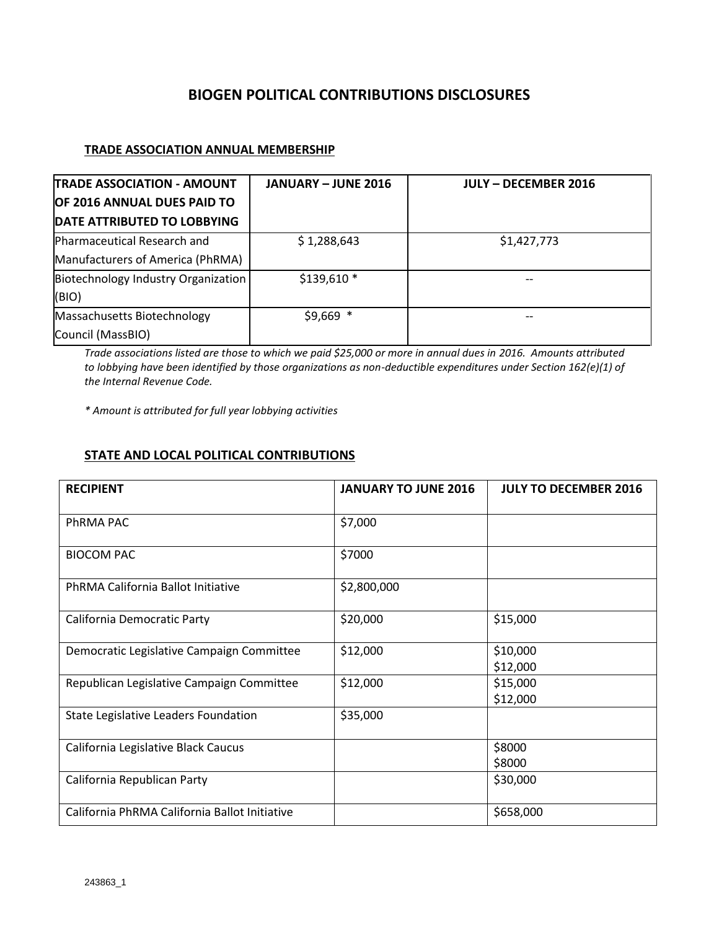# **BIOGEN POLITICAL CONTRIBUTIONS DISCLOSURES**

### **TRADE ASSOCIATION ANNUAL MEMBERSHIP**

| <b>TRADE ASSOCIATION - AMOUNT</b>   | <b>JANUARY - JUNE 2016</b> | <b>JULY - DECEMBER 2016</b> |
|-------------------------------------|----------------------------|-----------------------------|
| OF 2016 ANNUAL DUES PAID TO         |                            |                             |
| DATE ATTRIBUTED TO LOBBYING         |                            |                             |
| Pharmaceutical Research and         | \$1,288,643                | \$1,427,773                 |
| Manufacturers of America (PhRMA)    |                            |                             |
| Biotechnology Industry Organization | $$139,610*$                |                             |
| (BIO)                               |                            |                             |
| Massachusetts Biotechnology         | $$9,669$ *                 |                             |
| Council (MassBIO)                   |                            |                             |

*Trade associations listed are those to which we paid \$25,000 or more in annual dues in 2016. Amounts attributed to lobbying have been identified by those organizations as non-deductible expenditures under Section 162(e)(1) of the Internal Revenue Code.*

*\* Amount is attributed for full year lobbying activities*

### **STATE AND LOCAL POLITICAL CONTRIBUTIONS**

| <b>RECIPIENT</b>                              | <b>JANUARY TO JUNE 2016</b> | <b>JULY TO DECEMBER 2016</b> |
|-----------------------------------------------|-----------------------------|------------------------------|
|                                               |                             |                              |
| PhRMA PAC                                     | \$7,000                     |                              |
| <b>BIOCOM PAC</b>                             | \$7000                      |                              |
| PhRMA California Ballot Initiative            | \$2,800,000                 |                              |
| California Democratic Party                   | \$20,000                    | \$15,000                     |
| Democratic Legislative Campaign Committee     | \$12,000                    | \$10,000                     |
|                                               |                             | \$12,000                     |
| Republican Legislative Campaign Committee     | \$12,000                    | \$15,000                     |
|                                               |                             | \$12,000                     |
| State Legislative Leaders Foundation          | \$35,000                    |                              |
| California Legislative Black Caucus           |                             | \$8000                       |
|                                               |                             | \$8000                       |
| California Republican Party                   |                             | \$30,000                     |
| California PhRMA California Ballot Initiative |                             | \$658,000                    |